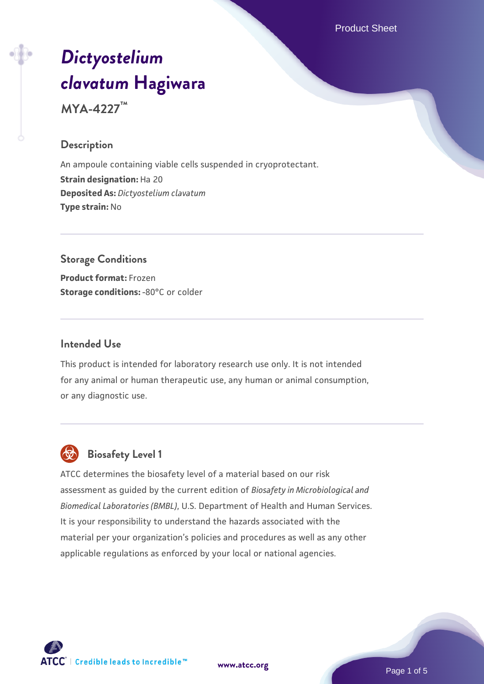Product Sheet

# *[Dictyostelium](https://www.atcc.org/products/mya-4227) [clavatum](https://www.atcc.org/products/mya-4227)* **[Hagiwara](https://www.atcc.org/products/mya-4227)**

**MYA-4227™**

#### **Description**

An ampoule containing viable cells suspended in cryoprotectant. **Strain designation:** Ha 20 **Deposited As:** *Dictyostelium clavatum* **Type strain:** No

# **Storage Conditions**

**Product format:** Frozen **Storage conditions: -80°C or colder** 

#### **Intended Use**

This product is intended for laboratory research use only. It is not intended for any animal or human therapeutic use, any human or animal consumption, or any diagnostic use.



# **Biosafety Level 1**

ATCC determines the biosafety level of a material based on our risk assessment as guided by the current edition of *Biosafety in Microbiological and Biomedical Laboratories (BMBL)*, U.S. Department of Health and Human Services. It is your responsibility to understand the hazards associated with the material per your organization's policies and procedures as well as any other applicable regulations as enforced by your local or national agencies.



**[www.atcc.org](http://www.atcc.org)**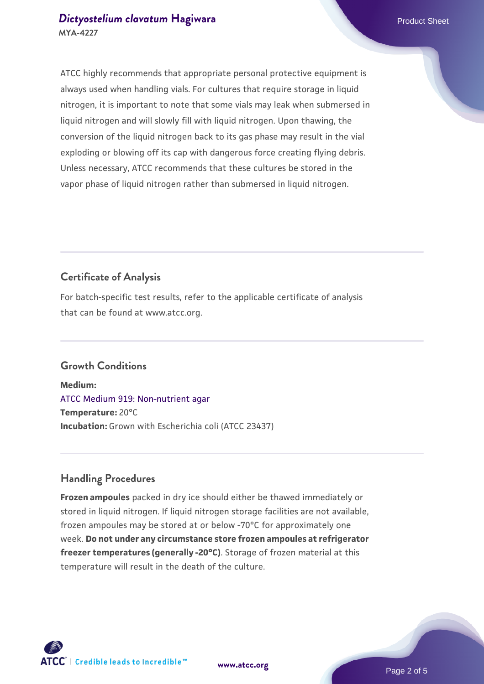# *[Dictyostelium clavatum](https://www.atcc.org/products/mya-4227)* [Hagiwara](https://www.atcc.org/products/mya-4227) **Product Sheet** Product Sheet **MYA-4227**

ATCC highly recommends that appropriate personal protective equipment is always used when handling vials. For cultures that require storage in liquid nitrogen, it is important to note that some vials may leak when submersed in liquid nitrogen and will slowly fill with liquid nitrogen. Upon thawing, the conversion of the liquid nitrogen back to its gas phase may result in the vial exploding or blowing off its cap with dangerous force creating flying debris. Unless necessary, ATCC recommends that these cultures be stored in the vapor phase of liquid nitrogen rather than submersed in liquid nitrogen.

# **Certificate of Analysis**

For batch-specific test results, refer to the applicable certificate of analysis that can be found at www.atcc.org.

# **Growth Conditions**

**Medium:**  [ATCC Medium 919: Non-nutrient agar](https://www.atcc.org/-/media/product-assets/documents/microbial-media-formulations/9/1/9/atcc-medium-919.pdf?rev=f4e1e31d2b4249c2a4e4c31a4c703c9e) **Temperature:** 20°C **Incubation:** Grown with Escherichia coli (ATCC 23437)

# **Handling Procedures**

**Frozen ampoules** packed in dry ice should either be thawed immediately or stored in liquid nitrogen. If liquid nitrogen storage facilities are not available, frozen ampoules may be stored at or below -70°C for approximately one week. **Do not under any circumstance store frozen ampoules at refrigerator freezer temperatures (generally -20°C)**. Storage of frozen material at this temperature will result in the death of the culture.

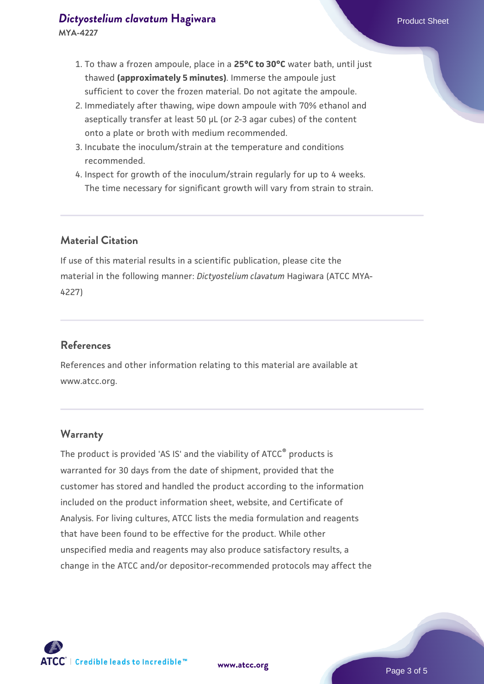#### *[Dictyostelium clavatum](https://www.atcc.org/products/mya-4227)* [Hagiwara](https://www.atcc.org/products/mya-4227) **Product Sheet** Product Sheet **MYA-4227**

- 1. To thaw a frozen ampoule, place in a **25°C to 30°C** water bath, until just thawed **(approximately 5 minutes)**. Immerse the ampoule just sufficient to cover the frozen material. Do not agitate the ampoule.
- 2. Immediately after thawing, wipe down ampoule with 70% ethanol and aseptically transfer at least 50 µL (or 2-3 agar cubes) of the content onto a plate or broth with medium recommended.
- 3. Incubate the inoculum/strain at the temperature and conditions recommended.
- 4. Inspect for growth of the inoculum/strain regularly for up to 4 weeks. The time necessary for significant growth will vary from strain to strain.

# **Material Citation**

If use of this material results in a scientific publication, please cite the material in the following manner: *Dictyostelium clavatum* Hagiwara (ATCC MYA-4227)

# **References**

References and other information relating to this material are available at www.atcc.org.

#### **Warranty**

The product is provided 'AS IS' and the viability of ATCC® products is warranted for 30 days from the date of shipment, provided that the customer has stored and handled the product according to the information included on the product information sheet, website, and Certificate of Analysis. For living cultures, ATCC lists the media formulation and reagents that have been found to be effective for the product. While other unspecified media and reagents may also produce satisfactory results, a change in the ATCC and/or depositor-recommended protocols may affect the

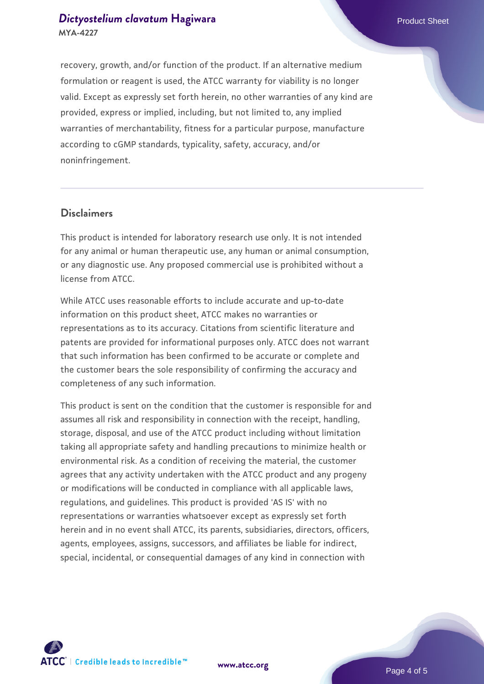# *[Dictyostelium clavatum](https://www.atcc.org/products/mya-4227)* [Hagiwara](https://www.atcc.org/products/mya-4227) **Product Sheet** Product Sheet **MYA-4227**

recovery, growth, and/or function of the product. If an alternative medium formulation or reagent is used, the ATCC warranty for viability is no longer valid. Except as expressly set forth herein, no other warranties of any kind are provided, express or implied, including, but not limited to, any implied warranties of merchantability, fitness for a particular purpose, manufacture according to cGMP standards, typicality, safety, accuracy, and/or noninfringement.

#### **Disclaimers**

This product is intended for laboratory research use only. It is not intended for any animal or human therapeutic use, any human or animal consumption, or any diagnostic use. Any proposed commercial use is prohibited without a license from ATCC.

While ATCC uses reasonable efforts to include accurate and up-to-date information on this product sheet, ATCC makes no warranties or representations as to its accuracy. Citations from scientific literature and patents are provided for informational purposes only. ATCC does not warrant that such information has been confirmed to be accurate or complete and the customer bears the sole responsibility of confirming the accuracy and completeness of any such information.

This product is sent on the condition that the customer is responsible for and assumes all risk and responsibility in connection with the receipt, handling, storage, disposal, and use of the ATCC product including without limitation taking all appropriate safety and handling precautions to minimize health or environmental risk. As a condition of receiving the material, the customer agrees that any activity undertaken with the ATCC product and any progeny or modifications will be conducted in compliance with all applicable laws, regulations, and guidelines. This product is provided 'AS IS' with no representations or warranties whatsoever except as expressly set forth herein and in no event shall ATCC, its parents, subsidiaries, directors, officers, agents, employees, assigns, successors, and affiliates be liable for indirect, special, incidental, or consequential damages of any kind in connection with





Page 4 of 5